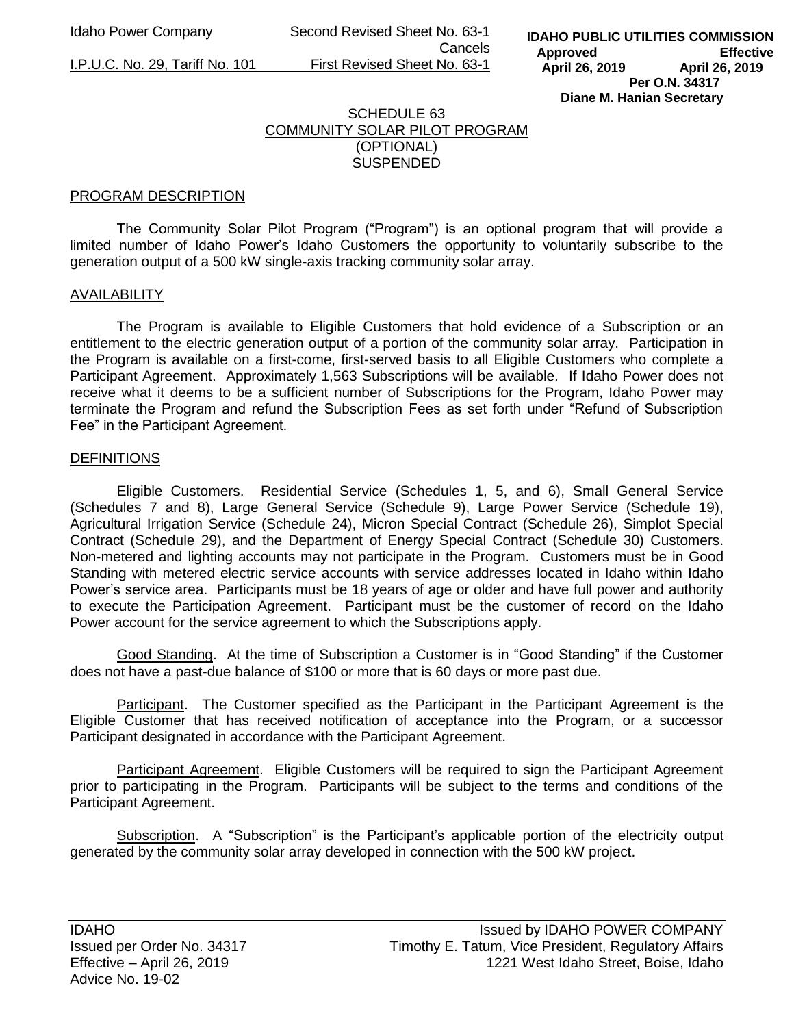Idaho Power Company Second Revised Sheet No. 63-1 Cancels I.P.U.C. No. 29, Tariff No. 101 First Revised Sheet No. 63-1

## SCHEDULE 63 COMMUNITY SOLAR PILOT PROGRAM (OPTIONAL) SUSPENDED

## PROGRAM DESCRIPTION

The Community Solar Pilot Program ("Program") is an optional program that will provide a limited number of Idaho Power's Idaho Customers the opportunity to voluntarily subscribe to the generation output of a 500 kW single-axis tracking community solar array.

## AVAILABILITY

The Program is available to Eligible Customers that hold evidence of a Subscription or an entitlement to the electric generation output of a portion of the community solar array. Participation in the Program is available on a first-come, first-served basis to all Eligible Customers who complete a Participant Agreement. Approximately 1,563 Subscriptions will be available. If Idaho Power does not receive what it deems to be a sufficient number of Subscriptions for the Program, Idaho Power may terminate the Program and refund the Subscription Fees as set forth under "Refund of Subscription Fee" in the Participant Agreement.

## **DEFINITIONS**

Eligible Customers. Residential Service (Schedules 1, 5, and 6), Small General Service (Schedules 7 and 8), Large General Service (Schedule 9), Large Power Service (Schedule 19), Agricultural Irrigation Service (Schedule 24), Micron Special Contract (Schedule 26), Simplot Special Contract (Schedule 29), and the Department of Energy Special Contract (Schedule 30) Customers. Non-metered and lighting accounts may not participate in the Program. Customers must be in Good Standing with metered electric service accounts with service addresses located in Idaho within Idaho Power's service area. Participants must be 18 years of age or older and have full power and authority to execute the Participation Agreement. Participant must be the customer of record on the Idaho Power account for the service agreement to which the Subscriptions apply.

Good Standing. At the time of Subscription a Customer is in "Good Standing" if the Customer does not have a past-due balance of \$100 or more that is 60 days or more past due.

Participant. The Customer specified as the Participant in the Participant Agreement is the Eligible Customer that has received notification of acceptance into the Program, or a successor Participant designated in accordance with the Participant Agreement.

Participant Agreement. Eligible Customers will be required to sign the Participant Agreement prior to participating in the Program. Participants will be subject to the terms and conditions of the Participant Agreement.

Subscription. A "Subscription" is the Participant's applicable portion of the electricity output generated by the community solar array developed in connection with the 500 kW project.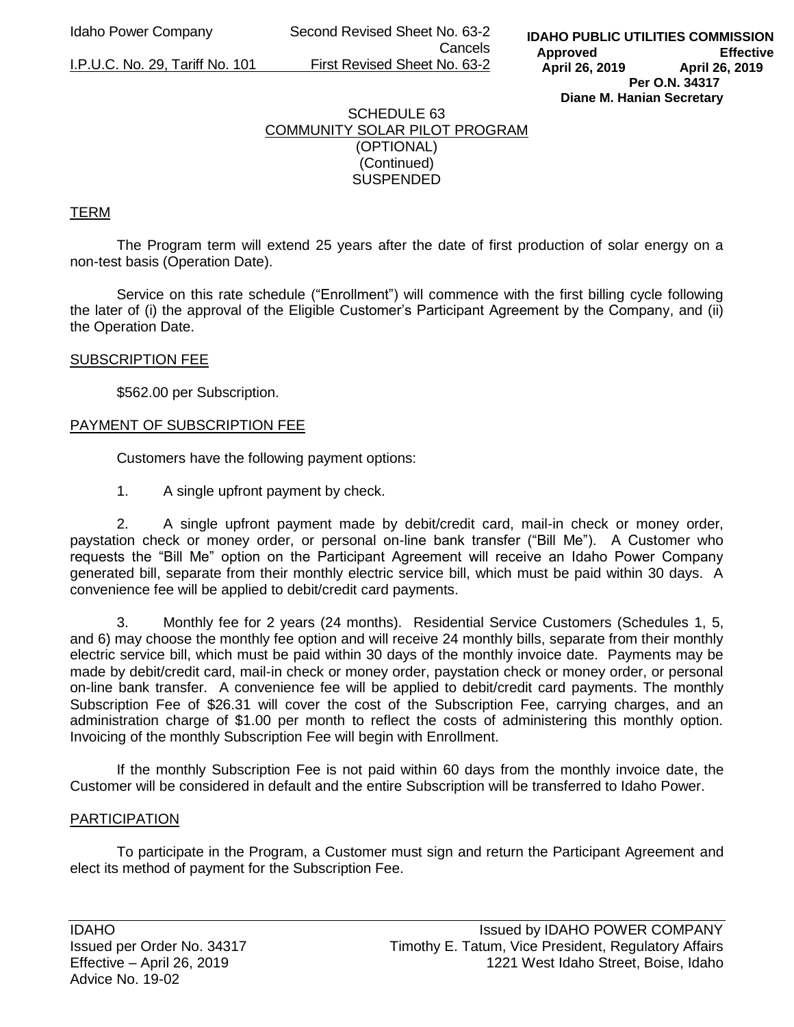Idaho Power Company Second Revised Sheet No. 63-2 Cancels I.P.U.C. No. 29, Tariff No. 101 First Revised Sheet No. 63-2

# SCHEDULE 63 COMMUNITY SOLAR PILOT PROGRAM (OPTIONAL) (Continued) SUSPENDED

## TERM

The Program term will extend 25 years after the date of first production of solar energy on a non-test basis (Operation Date).

Service on this rate schedule ("Enrollment") will commence with the first billing cycle following the later of (i) the approval of the Eligible Customer's Participant Agreement by the Company, and (ii) the Operation Date.

### SUBSCRIPTION FEE

\$562.00 per Subscription.

### PAYMENT OF SUBSCRIPTION FEE

Customers have the following payment options:

1. A single upfront payment by check.

2. A single upfront payment made by debit/credit card, mail-in check or money order, paystation check or money order, or personal on-line bank transfer ("Bill Me"). A Customer who requests the "Bill Me" option on the Participant Agreement will receive an Idaho Power Company generated bill, separate from their monthly electric service bill, which must be paid within 30 days. A convenience fee will be applied to debit/credit card payments.

3. Monthly fee for 2 years (24 months). Residential Service Customers (Schedules 1, 5, and 6) may choose the monthly fee option and will receive 24 monthly bills, separate from their monthly electric service bill, which must be paid within 30 days of the monthly invoice date. Payments may be made by debit/credit card, mail-in check or money order, paystation check or money order, or personal on-line bank transfer. A convenience fee will be applied to debit/credit card payments. The monthly Subscription Fee of \$26.31 will cover the cost of the Subscription Fee, carrying charges, and an administration charge of \$1.00 per month to reflect the costs of administering this monthly option. Invoicing of the monthly Subscription Fee will begin with Enrollment.

If the monthly Subscription Fee is not paid within 60 days from the monthly invoice date, the Customer will be considered in default and the entire Subscription will be transferred to Idaho Power.

### **PARTICIPATION**

To participate in the Program, a Customer must sign and return the Participant Agreement and elect its method of payment for the Subscription Fee.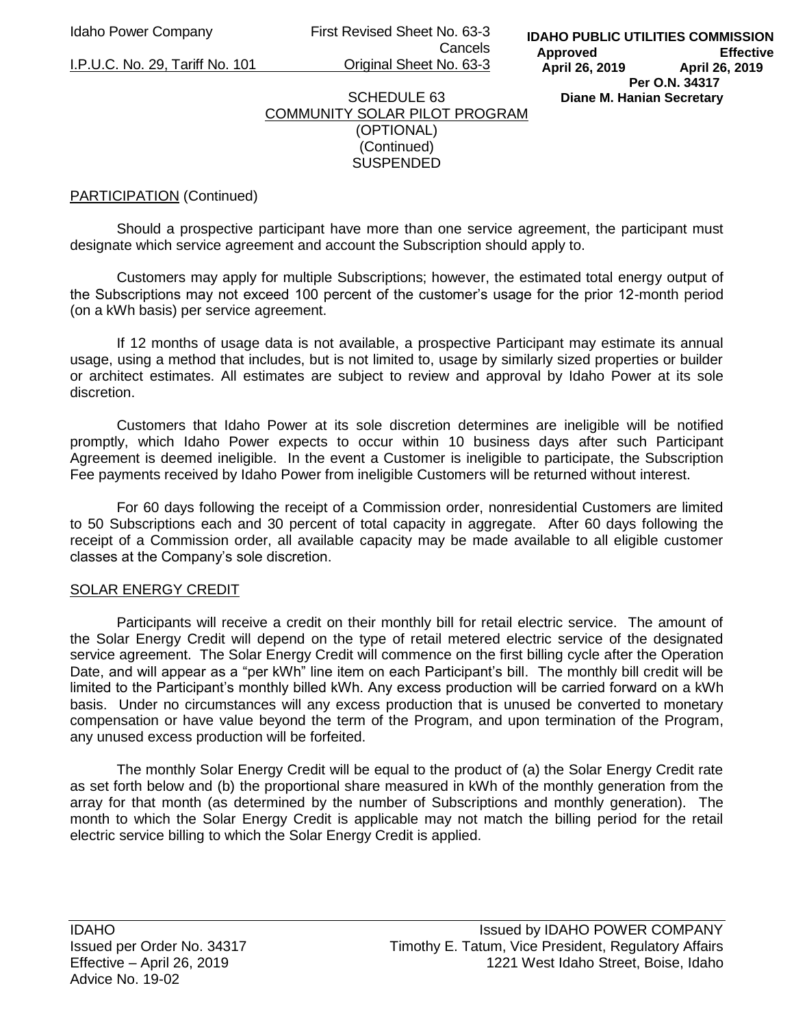Idaho Power Company First Revised Sheet No. 63-3 Cancels I.P.U.C. No. 29, Tariff No. 101 Original Sheet No. 63-3

## SCHEDULE 63 COMMUNITY SOLAR PILOT PROGRAM (OPTIONAL) (Continued) SUSPENDED

## PARTICIPATION (Continued)

Should a prospective participant have more than one service agreement, the participant must designate which service agreement and account the Subscription should apply to.

Customers may apply for multiple Subscriptions; however, the estimated total energy output of the Subscriptions may not exceed 100 percent of the customer's usage for the prior 12-month period (on a kWh basis) per service agreement.

If 12 months of usage data is not available, a prospective Participant may estimate its annual usage, using a method that includes, but is not limited to, usage by similarly sized properties or builder or architect estimates. All estimates are subject to review and approval by Idaho Power at its sole discretion.

Customers that Idaho Power at its sole discretion determines are ineligible will be notified promptly, which Idaho Power expects to occur within 10 business days after such Participant Agreement is deemed ineligible. In the event a Customer is ineligible to participate, the Subscription Fee payments received by Idaho Power from ineligible Customers will be returned without interest.

For 60 days following the receipt of a Commission order, nonresidential Customers are limited to 50 Subscriptions each and 30 percent of total capacity in aggregate. After 60 days following the receipt of a Commission order, all available capacity may be made available to all eligible customer classes at the Company's sole discretion.

### SOLAR ENERGY CREDIT

Participants will receive a credit on their monthly bill for retail electric service. The amount of the Solar Energy Credit will depend on the type of retail metered electric service of the designated service agreement. The Solar Energy Credit will commence on the first billing cycle after the Operation Date, and will appear as a "per kWh" line item on each Participant's bill. The monthly bill credit will be limited to the Participant's monthly billed kWh. Any excess production will be carried forward on a kWh basis. Under no circumstances will any excess production that is unused be converted to monetary compensation or have value beyond the term of the Program, and upon termination of the Program, any unused excess production will be forfeited.

The monthly Solar Energy Credit will be equal to the product of (a) the Solar Energy Credit rate as set forth below and (b) the proportional share measured in kWh of the monthly generation from the array for that month (as determined by the number of Subscriptions and monthly generation). The month to which the Solar Energy Credit is applicable may not match the billing period for the retail electric service billing to which the Solar Energy Credit is applied.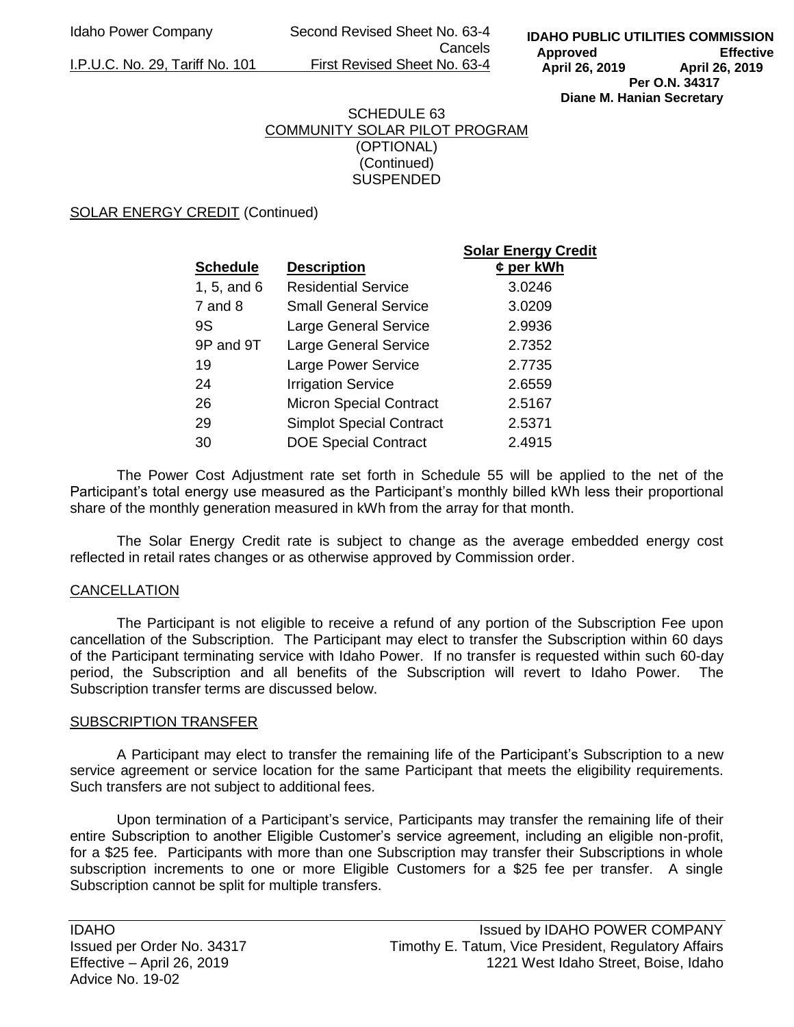Idaho Power Company Second Revised Sheet No. 63-4 Cancels I.P.U.C. No. 29, Tariff No. 101 First Revised Sheet No. 63-4

# SCHEDULE 63 COMMUNITY SOLAR PILOT PROGRAM (OPTIONAL) (Continued) SUSPENDED

SOLAR ENERGY CREDIT (Continued)

|                 |                                 | <b>Solar Energy Credit</b> |
|-----------------|---------------------------------|----------------------------|
| <b>Schedule</b> | <b>Description</b>              | $¢$ per kWh                |
| 1, 5, and $6$   | <b>Residential Service</b>      | 3.0246                     |
| $7$ and $8$     | <b>Small General Service</b>    | 3.0209                     |
| 9S              | <b>Large General Service</b>    | 2.9936                     |
| 9P and 9T       | <b>Large General Service</b>    | 2.7352                     |
| 19              | Large Power Service             | 2.7735                     |
| 24              | <b>Irrigation Service</b>       | 2.6559                     |
| 26              | <b>Micron Special Contract</b>  | 2.5167                     |
| 29              | <b>Simplot Special Contract</b> | 2.5371                     |
| 30              | <b>DOE Special Contract</b>     | 2.4915                     |

The Power Cost Adjustment rate set forth in Schedule 55 will be applied to the net of the Participant's total energy use measured as the Participant's monthly billed kWh less their proportional share of the monthly generation measured in kWh from the array for that month.

The Solar Energy Credit rate is subject to change as the average embedded energy cost reflected in retail rates changes or as otherwise approved by Commission order.

# CANCELLATION

The Participant is not eligible to receive a refund of any portion of the Subscription Fee upon cancellation of the Subscription. The Participant may elect to transfer the Subscription within 60 days of the Participant terminating service with Idaho Power. If no transfer is requested within such 60-day period, the Subscription and all benefits of the Subscription will revert to Idaho Power. The Subscription transfer terms are discussed below.

### SUBSCRIPTION TRANSFER

A Participant may elect to transfer the remaining life of the Participant's Subscription to a new service agreement or service location for the same Participant that meets the eligibility requirements. Such transfers are not subject to additional fees.

Upon termination of a Participant's service, Participants may transfer the remaining life of their entire Subscription to another Eligible Customer's service agreement, including an eligible non-profit, for a \$25 fee. Participants with more than one Subscription may transfer their Subscriptions in whole subscription increments to one or more Eligible Customers for a \$25 fee per transfer. A single Subscription cannot be split for multiple transfers.